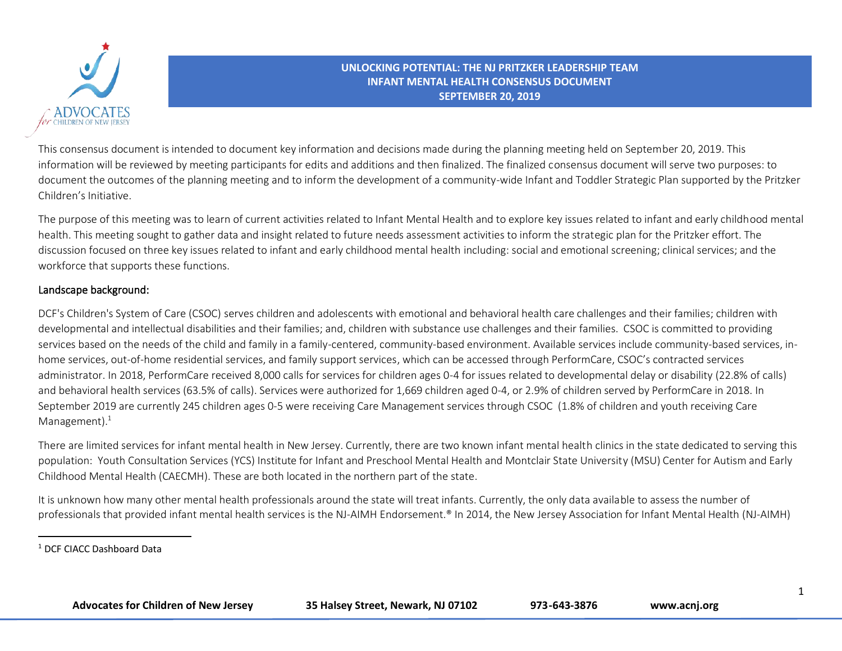

This consensus document is intended to document key information and decisions made during the planning meeting held on September 20, 2019. This information will be reviewed by meeting participants for edits and additions and then finalized. The finalized consensus document will serve two purposes: to document the outcomes of the planning meeting and to inform the development of a community-wide Infant and Toddler Strategic Plan supported by the Pritzker Children's Initiative.

The purpose of this meeting was to learn of current activities related to Infant Mental Health and to explore key issues related to infant and early childhood mental health. This meeting sought to gather data and insight related to future needs assessment activities to inform the strategic plan for the Pritzker effort. The discussion focused on three key issues related to infant and early childhood mental health including: social and emotional screening; clinical services; and the workforce that supports these functions.

### Landscape background:

DCF's Children's System of Care (CSOC) serves children and adolescents with emotional and behavioral health care challenges and their families; children with developmental and intellectual disabilities and their families; and, children with substance use challenges and their families. CSOC is committed to providing services based on the needs of the child and family in a family-centered, community-based environment. Available services include community-based services, inhome services, out-of-home residential services, and family support services, which can be accessed through PerformCare, CSOC's contracted services administrator. In 2018, PerformCare received 8,000 calls for services for children ages 0-4 for issues related to developmental delay or disability (22.8% of calls) and behavioral health services (63.5% of calls). Services were authorized for 1,669 children aged 0-4, or 2.9% of children served by PerformCare in 2018. In September 2019 are currently 245 children ages 0-5 were receiving Care Management services through CSOC (1.8% of children and youth receiving Care Management $).<sup>1</sup>$ 

There are limited services for infant mental health in New Jersey. Currently, there are two known infant mental health clinics in the state dedicated to serving this population: Youth Consultation Services (YCS) Institute for Infant and Preschool Mental Health and Montclair State University (MSU) Center for Autism and Early Childhood Mental Health (CAECMH). These are both located in the northern part of the state.

It is unknown how many other mental health professionals around the state will treat infants. Currently, the only data available to assess the number of professionals that provided infant mental health services is the NJ-AIMH Endorsement.® In 2014, the New Jersey Association for Infant Mental Health (NJ-AIMH)

<sup>1</sup> DCF CIACC Dashboard Data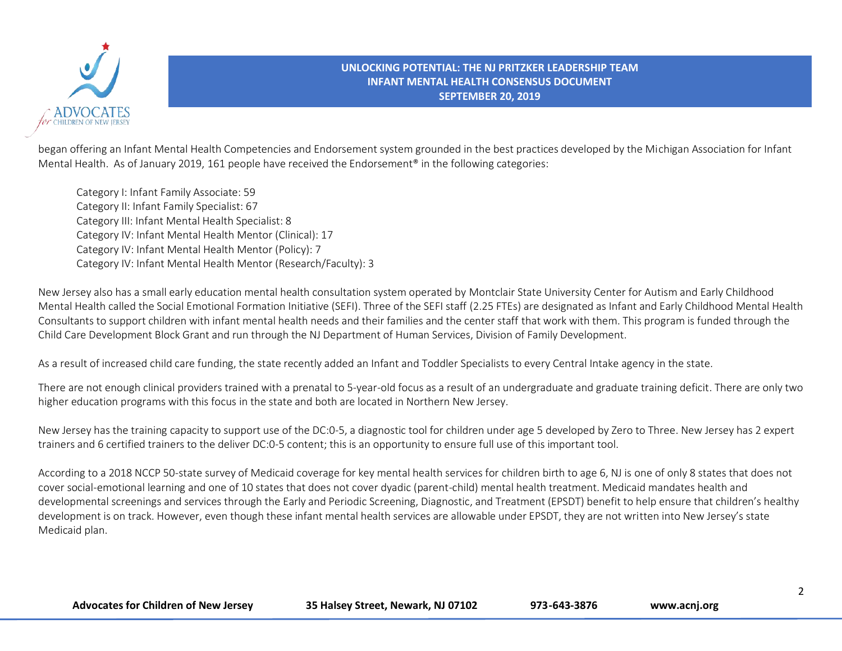

began offering an Infant Mental Health Competencies and Endorsement system grounded in the best practices developed by the Michigan Association for Infant Mental Health. As of January 2019, 161 people have received the Endorsement® in the following categories:

Category I: Infant Family Associate: 59 Category II: Infant Family Specialist: 67 Category III: Infant Mental Health Specialist: 8 Category IV: Infant Mental Health Mentor (Clinical): 17 Category IV: Infant Mental Health Mentor (Policy): 7 Category IV: Infant Mental Health Mentor (Research/Faculty): 3

New Jersey also has a small early education mental health consultation system operated by Montclair State University Center for Autism and Early Childhood Mental Health called the Social Emotional Formation Initiative (SEFI). Three of the SEFI staff (2.25 FTEs) are designated as Infant and Early Childhood Mental Health Consultants to support children with infant mental health needs and their families and the center staff that work with them. This program is funded through the Child Care Development Block Grant and run through the NJ Department of Human Services, Division of Family Development.

As a result of increased child care funding, the state recently added an Infant and Toddler Specialists to every Central Intake agency in the state.

There are not enough clinical providers trained with a prenatal to 5-year-old focus as a result of an undergraduate and graduate training deficit. There are only two higher education programs with this focus in the state and both are located in Northern New Jersey.

New Jersey has the training capacity to support use of the DC:0-5, a diagnostic tool for children under age 5 developed by Zero to Three. New Jersey has 2 expert trainers and 6 certified trainers to the deliver DC:0-5 content; this is an opportunity to ensure full use of this important tool.

According to a 2018 NCCP 50-state survey of Medicaid coverage for key mental health services for children birth to age 6, NJ is one of only 8 states that does not cover social-emotional learning and one of 10 states that does not cover dyadic (parent-child) mental health treatment. Medicaid mandates health and developmental screenings and services through the Early and Periodic Screening, Diagnostic, and Treatment (EPSDT) benefit to help ensure that children's healthy development is on track. However, even though these infant mental health services are allowable under EPSDT, they are not written into New Jersey's state Medicaid plan.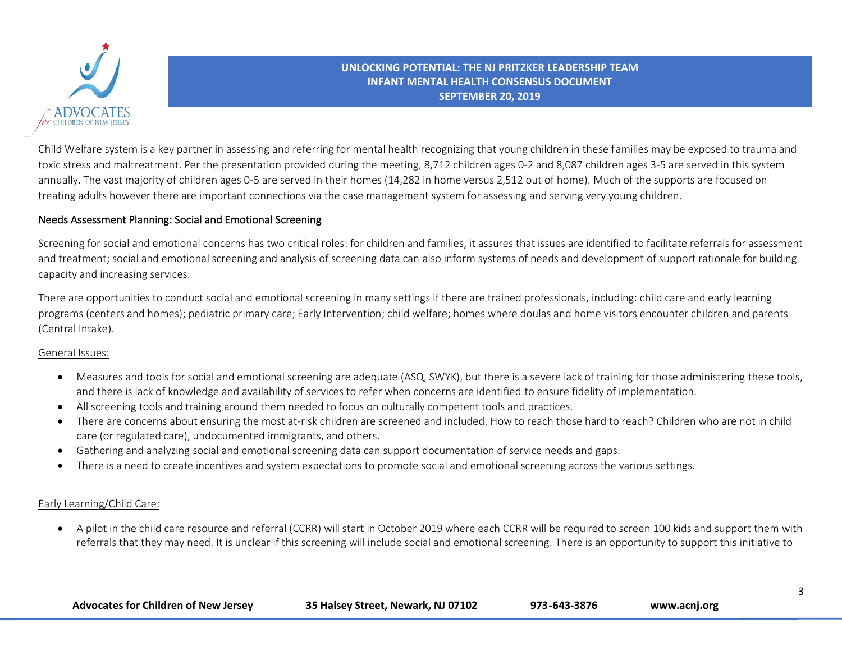

Child Welfare system is a key partner in assessing and referring for mental health recognizing that young children in these families may be exposed to trauma and toxic stress and maltreatment. Per the presentation provided during the meeting, 8,712 children ages 0-2 and 8,087 children ages 3-5 are served in this system annually. The vast majority of children ages 0-5 are served in their homes (14,282 in home versus 2,512 out of home). Much of the supports are focused on treating adults however there are important connections via the case management system for assessing and serving very young children.

## Needs Assessment Planning: Social and Emotional Screening

Screening for social and emotional concerns has two critical roles: for children and families, it assures that issues are identified to facilitate referrals for assessment and treatment; social and emotional screening and analysis of screening data can also inform systems of needs and development of support rationale for building capacity and increasing services.

There are opportunities to conduct social and emotional screening in many settings if there are trained professionals, including: child care and early learning programs (centers and homes); pediatric primary care; Early Intervention; child welfare; homes where doulas and home visitors encounter children and parents (Central Intake).

#### General Issues:

- Measures and tools for social and emotional screening are adequate (ASQ, SWYK), but there is a severe lack of training for those administering these tools, and there is lack of knowledge and availability of services to refer when concerns are identified to ensure fidelity of implementation.
- All screening tools and training around them needed to focus on culturally competent tools and practices.
- There are concerns about ensuring the most at-risk children are screened and included. How to reach those hard to reach? Children who are not in child care (or regulated care), undocumented immigrants, and others.
- Gathering and analyzing social and emotional screening data can support documentation of service needs and gaps.
- There is a need to create incentives and system expectations to promote social and emotional screening across the various settings.

### Early Learning/Child Care:

• A pilot in the child care resource and referral (CCRR) will start in October 2019 where each CCRR will be required to screen 100 kids and support them with referrals that they may need. It is unclear if this screening will include social and emotional screening. There is an opportunity to support this initiative to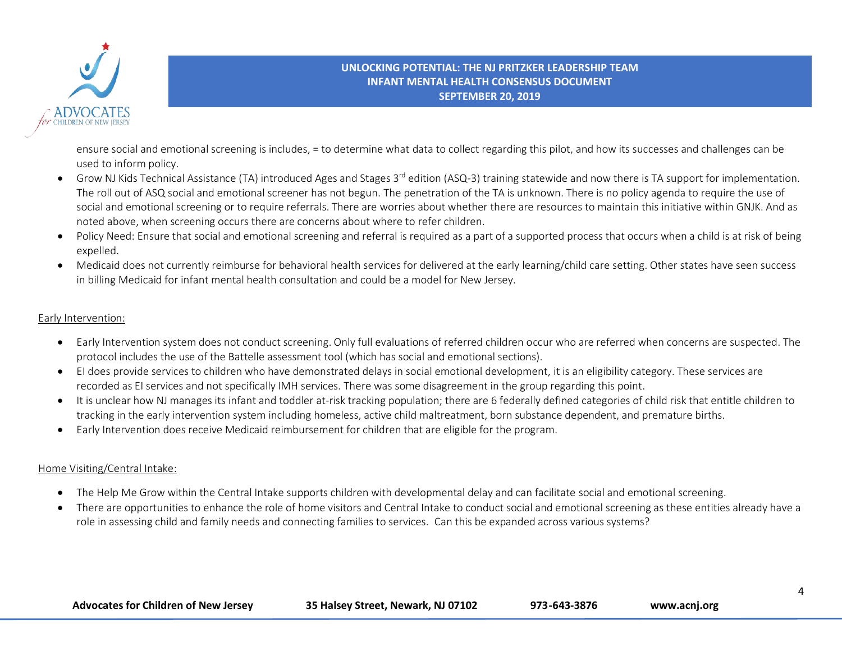

ensure social and emotional screening is includes, = to determine what data to collect regarding this pilot, and how its successes and challenges can be used to inform policy.

- Grow NJ Kids Technical Assistance (TA) introduced Ages and Stages 3<sup>rd</sup> edition (ASQ-3) training statewide and now there is TA support for implementation. The roll out of ASQ social and emotional screener has not begun. The penetration of the TA is unknown. There is no policy agenda to require the use of social and emotional screening or to require referrals. There are worries about whether there are resources to maintain this initiative within GNJK. And as noted above, when screening occurs there are concerns about where to refer children.
- Policy Need: Ensure that social and emotional screening and referral is required as a part of a supported process that occurs when a child is at risk of being expelled.
- Medicaid does not currently reimburse for behavioral health services for delivered at the early learning/child care setting. Other states have seen success in billing Medicaid for infant mental health consultation and could be a model for New Jersey.

#### Early Intervention:

- Early Intervention system does not conduct screening. Only full evaluations of referred children occur who are referred when concerns are suspected. The protocol includes the use of the Battelle assessment tool (which has social and emotional sections).
- EI does provide services to children who have demonstrated delays in social emotional development, it is an eligibility category. These services are recorded as EI services and not specifically IMH services. There was some disagreement in the group regarding this point.
- It is unclear how NJ manages its infant and toddler at-risk tracking population; there are 6 federally defined categories of child risk that entitle children to tracking in the early intervention system including homeless, active child maltreatment, born substance dependent, and premature births.
- Early Intervention does receive Medicaid reimbursement for children that are eligible for the program.

### Home Visiting/Central Intake:

- The Help Me Grow within the Central Intake supports children with developmental delay and can facilitate social and emotional screening.
- There are opportunities to enhance the role of home visitors and Central Intake to conduct social and emotional screening as these entities already have a role in assessing child and family needs and connecting families to services. Can this be expanded across various systems?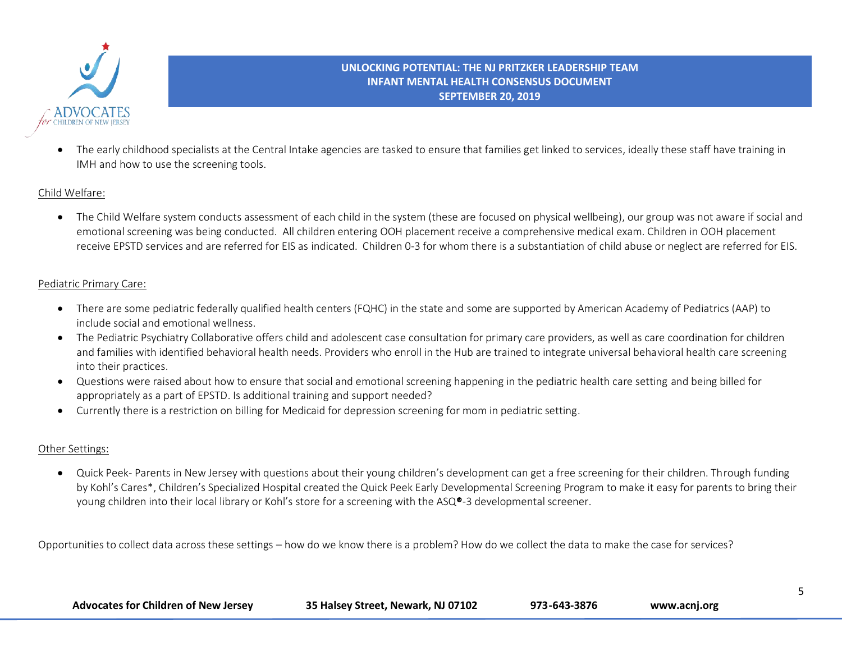

• The early childhood specialists at the Central Intake agencies are tasked to ensure that families get linked to services, ideally these staff have training in IMH and how to use the screening tools.

### Child Welfare:

• The Child Welfare system conducts assessment of each child in the system (these are focused on physical wellbeing), our group was not aware if social and emotional screening was being conducted. All children entering OOH placement receive a comprehensive medical exam. Children in OOH placement receive EPSTD services and are referred for EIS as indicated. Children 0-3 for whom there is a substantiation of child abuse or neglect are referred for EIS.

### Pediatric Primary Care:

- There are some pediatric federally qualified health centers (FQHC) in the state and some are supported by American Academy of Pediatrics (AAP) to include social and emotional wellness.
- The Pediatric Psychiatry Collaborative offers child and adolescent case consultation for primary care providers, as well as care coordination for children and families with identified behavioral health needs. Providers who enroll in the Hub are trained to integrate universal behavioral health care screening into their practices.
- Questions were raised about how to ensure that social and emotional screening happening in the pediatric health care setting and being billed for appropriately as a part of EPSTD. Is additional training and support needed?
- Currently there is a restriction on billing for Medicaid for depression screening for mom in pediatric setting.

### Other Settings:

• Quick Peek- Parents in New Jersey with questions about their young children's development can get a free screening for their children. Through funding by [Kohl's Cares\\*](http://www.kohlscorporation.com/communityrelations/Community01.htm), [Children's Specialized Hospital](http://www.childrens-specialized.org/) created the [Quick Peek Early Developmental Screening Program](http://www.childrens-specialized.org/programs-and-services/specialty-programs/early-developmental-screenings/?) to make it easy for parents to bring their young children into their local library or Kohl's store for a screening with the ASQ®-3 developmental screener.

Opportunities to collect data across these settings – how do we know there is a problem? How do we collect the data to make the case for services?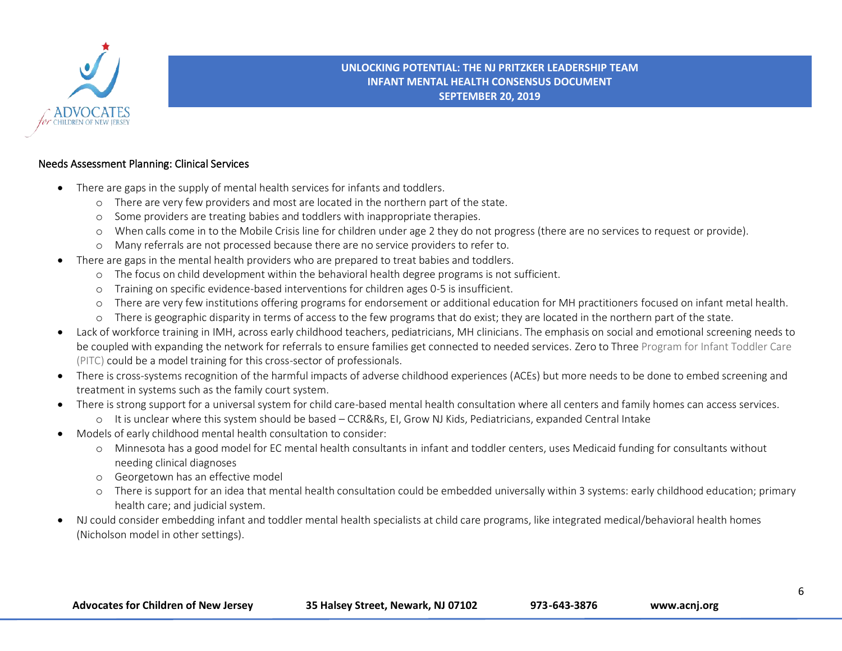

### Needs Assessment Planning: Clinical Services

- There are gaps in the supply of mental health services for infants and toddlers.
	- o There are very few providers and most are located in the northern part of the state.
	- o Some providers are treating babies and toddlers with inappropriate therapies.
	- o When calls come in to the Mobile Crisis line for children under age 2 they do not progress (there are no services to request or provide).
	- o Many referrals are not processed because there are no service providers to refer to.
- There are gaps in the mental health providers who are prepared to treat babies and toddlers.
	- o The focus on child development within the behavioral health degree programs is not sufficient.
	- o Training on specific evidence-based interventions for children ages 0-5 is insufficient.
	- o There are very few institutions offering programs for endorsement or additional education for MH practitioners focused on infant metal health.
	- o There is geographic disparity in terms of access to the few programs that do exist; they are located in the northern part of the state.
- Lack of workforce training in IMH, across early childhood teachers, pediatricians, MH clinicians. The emphasis on social and emotional screening needs to be coupled with expanding the network for referrals to ensure families get connected to needed services. Zero to Three Program for Infant Toddler Care (PITC) could be a model training for this cross-sector of professionals.
- There is cross-systems recognition of the harmful impacts of adverse childhood experiences (ACEs) but more needs to be done to embed screening and treatment in systems such as the family court system.
- There is strong support for a universal system for child care-based mental health consultation where all centers and family homes can access services. o It is unclear where this system should be based – CCR&Rs, EI, Grow NJ Kids, Pediatricians, expanded Central Intake
- Models of early childhood mental health consultation to consider:
	- o Minnesota has a good model for EC mental health consultants in infant and toddler centers, uses Medicaid funding for consultants without needing clinical diagnoses
	- o Georgetown has an effective model
	- o There is support for an idea that mental health consultation could be embedded universally within 3 systems: early childhood education; primary health care; and judicial system.
- NJ could consider embedding infant and toddler mental health specialists at child care programs, like integrated medical/behavioral health homes (Nicholson model in other settings).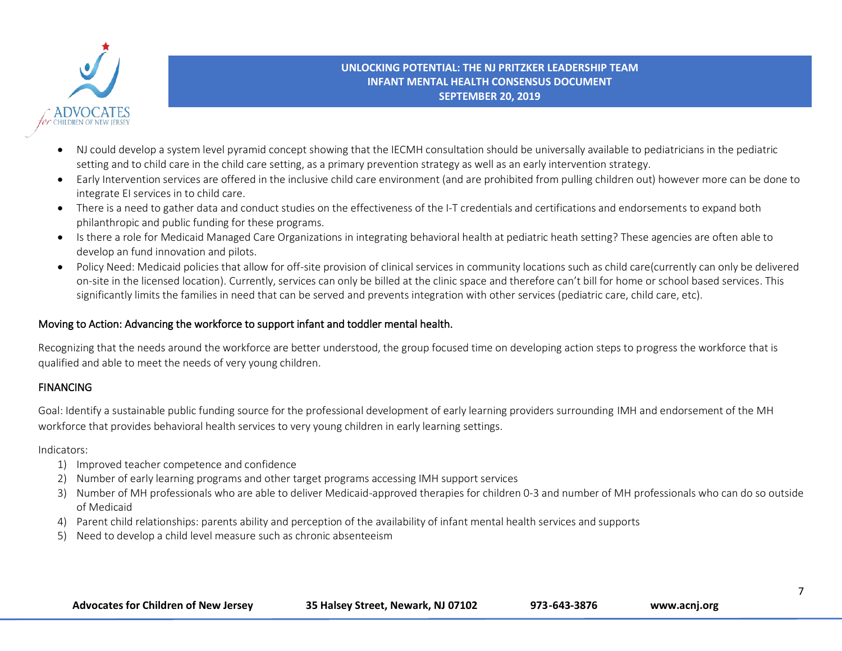

- NJ could develop a system level pyramid concept showing that the IECMH consultation should be universally available to pediatricians in the pediatric setting and to child care in the child care setting, as a primary prevention strategy as well as an early intervention strategy.
- Early Intervention services are offered in the inclusive child care environment (and are prohibited from pulling children out) however more can be done to integrate EI services in to child care.
- There is a need to gather data and conduct studies on the effectiveness of the I-T credentials and certifications and endorsements to expand both philanthropic and public funding for these programs.
- Is there a role for Medicaid Managed Care Organizations in integrating behavioral health at pediatric heath setting? These agencies are often able to develop an fund innovation and pilots.
- Policy Need: Medicaid policies that allow for off-site provision of clinical services in community locations such as child care(currently can only be delivered on-site in the licensed location). Currently, services can only be billed at the clinic space and therefore can't bill for home or school based services. This significantly limits the families in need that can be served and prevents integration with other services (pediatric care, child care, etc).

## Moving to Action: Advancing the workforce to support infant and toddler mental health.

Recognizing that the needs around the workforce are better understood, the group focused time on developing action steps to progress the workforce that is qualified and able to meet the needs of very young children.

## FINANCING

Goal: Identify a sustainable public funding source for the professional development of early learning providers surrounding IMH and endorsement of the MH workforce that provides behavioral health services to very young children in early learning settings.

Indicators:

- 1) Improved teacher competence and confidence
- 2) Number of early learning programs and other target programs accessing IMH support services
- 3) Number of MH professionals who are able to deliver Medicaid-approved therapies for children 0-3 and number of MH professionals who can do so outside of Medicaid
- 4) Parent child relationships: parents ability and perception of the availability of infant mental health services and supports
- 5) Need to develop a child level measure such as chronic absenteeism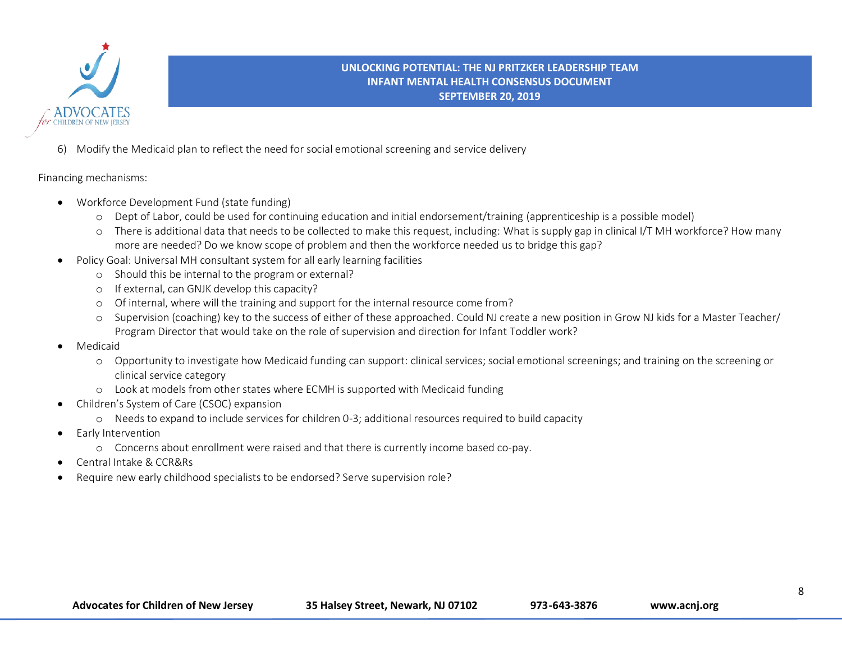

6) Modify the Medicaid plan to reflect the need for social emotional screening and service delivery

Financing mechanisms:

- Workforce Development Fund (state funding)
	- o Dept of Labor, could be used for continuing education and initial endorsement/training (apprenticeship is a possible model)
	- o There is additional data that needs to be collected to make this request, including: What is supply gap in clinical I/T MH workforce? How many more are needed? Do we know scope of problem and then the workforce needed us to bridge this gap?
- Policy Goal: Universal MH consultant system for all early learning facilities
	- o Should this be internal to the program or external?
	- o If external, can GNJK develop this capacity?
	- o Of internal, where will the training and support for the internal resource come from?
	- o Supervision (coaching) key to the success of either of these approached. Could NJ create a new position in Grow NJ kids for a Master Teacher/ Program Director that would take on the role of supervision and direction for Infant Toddler work?
- Medicaid
	- o Opportunity to investigate how Medicaid funding can support: clinical services; social emotional screenings; and training on the screening or clinical service category
	- o Look at models from other states where ECMH is supported with Medicaid funding
- Children's System of Care (CSOC) expansion
	- o Needs to expand to include services for children 0-3; additional resources required to build capacity
- Early Intervention
	- o Concerns about enrollment were raised and that there is currently income based co-pay.
- Central Intake & CCR&Rs
- Require new early childhood specialists to be endorsed? Serve supervision role?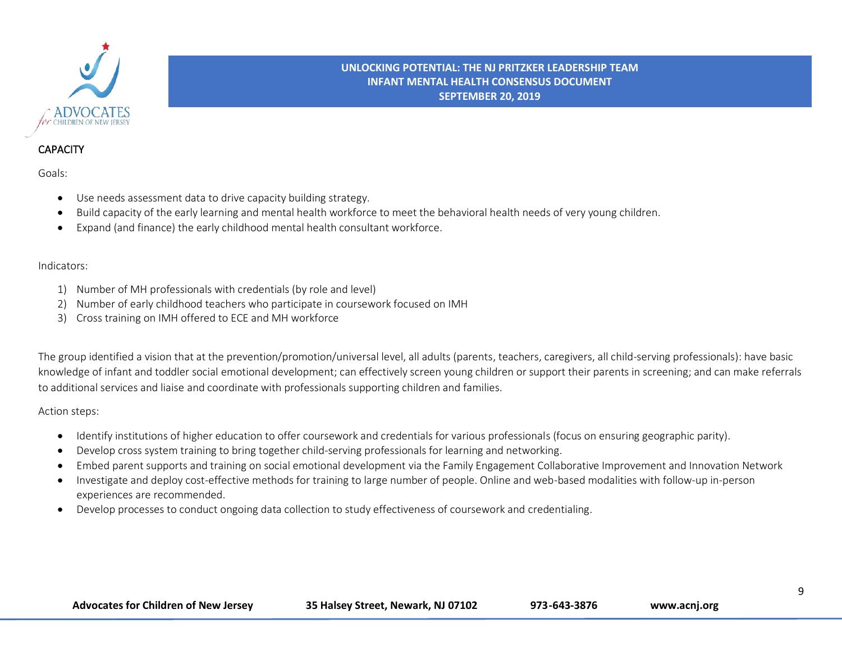

# **CAPACITY**

Goals:

- Use needs assessment data to drive capacity building strategy.
- Build capacity of the early learning and mental health workforce to meet the behavioral health needs of very young children.
- Expand (and finance) the early childhood mental health consultant workforce.

### Indicators:

- 1) Number of MH professionals with credentials (by role and level)
- 2) Number of early childhood teachers who participate in coursework focused on IMH
- 3) Cross training on IMH offered to ECE and MH workforce

The group identified a vision that at the prevention/promotion/universal level, all adults (parents, teachers, caregivers, all child-serving professionals): have basic knowledge of infant and toddler social emotional development; can effectively screen young children or support their parents in screening; and can make referrals to additional services and liaise and coordinate with professionals supporting children and families.

### Action steps:

- Identify institutions of higher education to offer coursework and credentials for various professionals (focus on ensuring geographic parity).
- Develop cross system training to bring together child-serving professionals for learning and networking.
- Embed parent supports and training on social emotional development via the Family Engagement Collaborative Improvement and Innovation Network
- Investigate and deploy cost-effective methods for training to large number of people. Online and web-based modalities with follow-up in-person experiences are recommended.
- Develop processes to conduct ongoing data collection to study effectiveness of coursework and credentialing.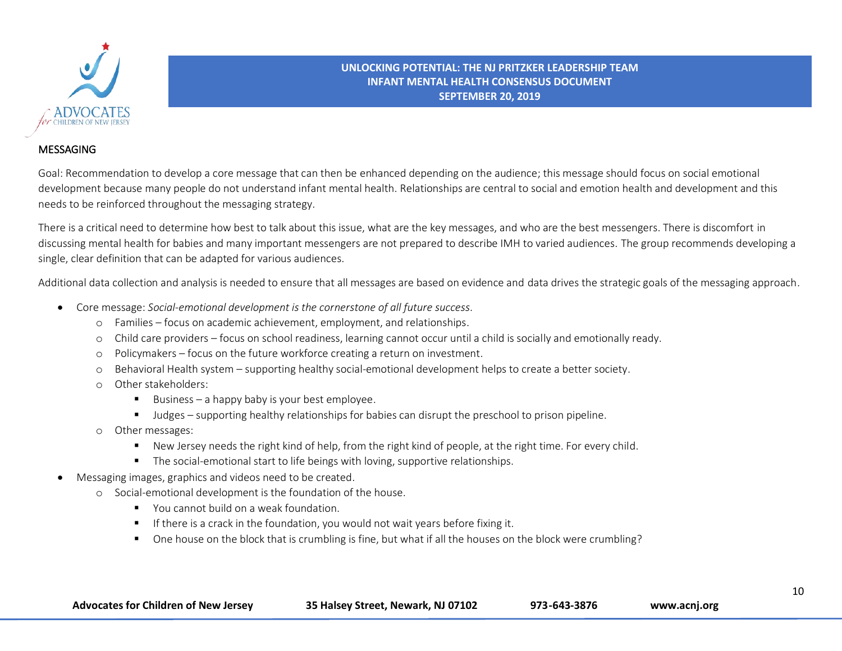

## MESSAGING

Goal: Recommendation to develop a core message that can then be enhanced depending on the audience; this message should focus on social emotional development because many people do not understand infant mental health. Relationships are central to social and emotion health and development and this needs to be reinforced throughout the messaging strategy.

There is a critical need to determine how best to talk about this issue, what are the key messages, and who are the best messengers. There is discomfort in discussing mental health for babies and many important messengers are not prepared to describe IMH to varied audiences. The group recommends developing a single, clear definition that can be adapted for various audiences.

Additional data collection and analysis is needed to ensure that all messages are based on evidence and data drives the strategic goals of the messaging approach.

- Core message: *Social-emotional development is the cornerstone of all future success.*
	- o Families focus on academic achievement, employment, and relationships.
	- o Child care providers focus on school readiness, learning cannot occur until a child is socially and emotionally ready.
	- o Policymakers focus on the future workforce creating a return on investment.
	- o Behavioral Health system supporting healthy social-emotional development helps to create a better society.
	- o Other stakeholders:
		- Business a happy baby is your best employee.
		- Judges supporting healthy relationships for babies can disrupt the preschool to prison pipeline.
	- o Other messages:
		- New Jersey needs the right kind of help, from the right kind of people, at the right time. For every child.
		- The social-emotional start to life beings with loving, supportive relationships.
- Messaging images, graphics and videos need to be created.
	- o Social-emotional development is the foundation of the house.
		- You cannot build on a weak foundation.
		- **EXECT** If there is a crack in the foundation, you would not wait years before fixing it.
		- One house on the block that is crumbling is fine, but what if all the houses on the block were crumbling?